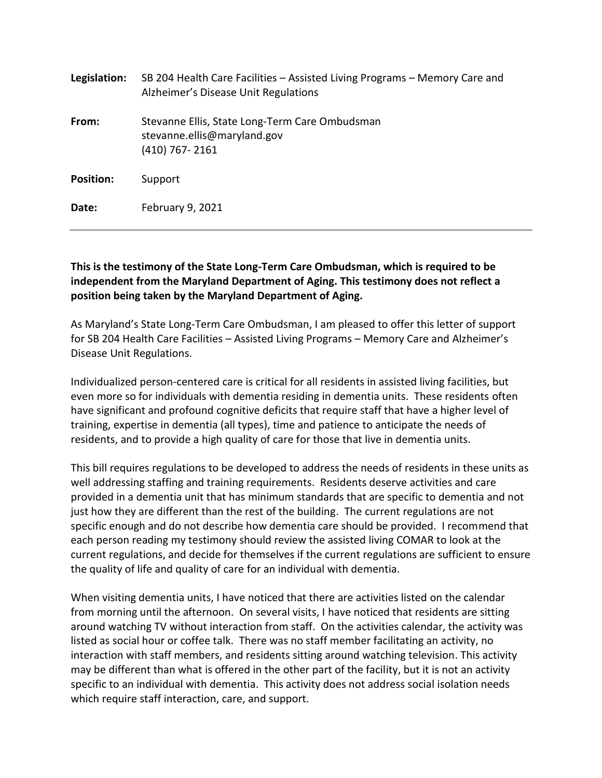| Legislation:     | SB 204 Health Care Facilities – Assisted Living Programs – Memory Care and<br>Alzheimer's Disease Unit Regulations |
|------------------|--------------------------------------------------------------------------------------------------------------------|
| From:            | Stevanne Ellis, State Long-Term Care Ombudsman<br>stevanne.ellis@maryland.gov<br>$(410)$ 767-2161                  |
| <b>Position:</b> | Support                                                                                                            |
| Date:            | February 9, 2021                                                                                                   |

## **This is the testimony of the State Long-Term Care Ombudsman, which is required to be independent from the Maryland Department of Aging. This testimony does not reflect a position being taken by the Maryland Department of Aging.**

As Maryland's State Long-Term Care Ombudsman, I am pleased to offer this letter of support for SB 204 Health Care Facilities – Assisted Living Programs – Memory Care and Alzheimer's Disease Unit Regulations.

Individualized person-centered care is critical for all residents in assisted living facilities, but even more so for individuals with dementia residing in dementia units. These residents often have significant and profound cognitive deficits that require staff that have a higher level of training, expertise in dementia (all types), time and patience to anticipate the needs of residents, and to provide a high quality of care for those that live in dementia units.

This bill requires regulations to be developed to address the needs of residents in these units as well addressing staffing and training requirements. Residents deserve activities and care provided in a dementia unit that has minimum standards that are specific to dementia and not just how they are different than the rest of the building. The current regulations are not specific enough and do not describe how dementia care should be provided. I recommend that each person reading my testimony should review the assisted living COMAR to look at the current regulations, and decide for themselves if the current regulations are sufficient to ensure the quality of life and quality of care for an individual with dementia.

When visiting dementia units, I have noticed that there are activities listed on the calendar from morning until the afternoon. On several visits, I have noticed that residents are sitting around watching TV without interaction from staff. On the activities calendar, the activity was listed as social hour or coffee talk. There was no staff member facilitating an activity, no interaction with staff members, and residents sitting around watching television. This activity may be different than what is offered in the other part of the facility, but it is not an activity specific to an individual with dementia. This activity does not address social isolation needs which require staff interaction, care, and support.